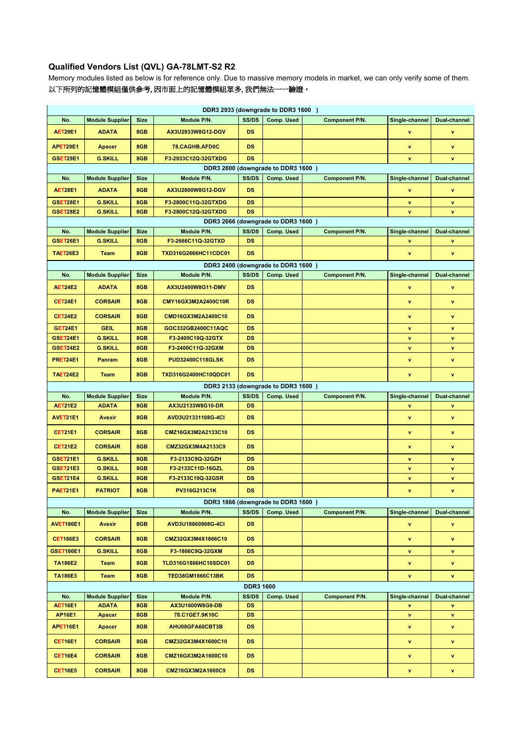## **Qualified Vendors List (QVL) GA-78LMT-S2 R2**

Memory modules listed as below is for reference only. Due to massive memory models in market, we can only verify some of them. 以下所列的記憶體模組僅供參考, 因市面上的記憶體模組眾多, 我們無法一一驗證。

| DDR3 2933 (downgrade to DDR3 1600) |                        |             |                         |                  |                                    |                       |                |                     |  |  |  |  |
|------------------------------------|------------------------|-------------|-------------------------|------------------|------------------------------------|-----------------------|----------------|---------------------|--|--|--|--|
| No.                                | <b>Module Supplier</b> | <b>Size</b> | Module P/N.             | SS/DS            | Comp. Used                         | <b>Component P/N.</b> | Single-channel | Dual-channel        |  |  |  |  |
| <b>AET29E1</b>                     | <b>ADATA</b>           | 8GB         | AX3U2933W8G12-DGV       | <b>DS</b>        |                                    |                       | v              | v                   |  |  |  |  |
| APET29E1                           | <b>Apacer</b>          | 8GB         | 78.CAGHB.AFD0C          | <b>DS</b>        |                                    |                       | v              | v                   |  |  |  |  |
| <b>GSET29E1</b>                    | <b>G.SKILL</b>         | 8GB         | F3-2933C12Q-32GTXDG     | <b>DS</b>        |                                    |                       | v              | v                   |  |  |  |  |
| DDR3 2800 (downgrade to DDR3 1600) |                        |             |                         |                  |                                    |                       |                |                     |  |  |  |  |
| No.                                | <b>Module Supplier</b> | <b>Size</b> | Module P/N.             | SS/DS            | Comp. Used                         | <b>Component P/N.</b> | Single-channel | <b>Dual-channel</b> |  |  |  |  |
| <b>AET28E1</b>                     | <b>ADATA</b>           | 8GB         | AX3U2800W8G12-DGV       | <b>DS</b>        |                                    |                       | v              | v                   |  |  |  |  |
| GSET28E1                           | <b>G.SKILL</b>         | 8GB         | F3-2800C11Q-32GTXDG     | <b>DS</b>        |                                    |                       | v              | v                   |  |  |  |  |
| GSET28E2                           | <b>G.SKILL</b>         | 8GB         | F3-2800C12Q-32GTXDG     | <b>DS</b>        |                                    |                       | v              | v                   |  |  |  |  |
| DDR3 2666 (downgrade to DDR3 1600) |                        |             |                         |                  |                                    |                       |                |                     |  |  |  |  |
| No.                                | <b>Module Supplier</b> | <b>Size</b> | Module P/N.             | SS/DS            | Comp. Used                         | Component P/N.        | Single-channel | Dual-channel        |  |  |  |  |
| GSET26E1                           | <b>G.SKILL</b>         | 8GB         | F3-2666C11Q-32GTXD      | <b>DS</b>        |                                    |                       | v              | v                   |  |  |  |  |
| <b>TAET26E3</b>                    | <b>Team</b>            | 8GB         | TXD316G2666HC11CDC01    | <b>DS</b>        |                                    |                       | v              | $\mathbf v$         |  |  |  |  |
| DDR3 2400 (downgrade to DDR3 1600) |                        |             |                         |                  |                                    |                       |                |                     |  |  |  |  |
| No.                                | <b>Module Supplier</b> | <b>Size</b> | Module P/N.             | SS/DS            | <b>Comp. Used</b>                  | Component P/N.        | Single-channel | Dual-channel        |  |  |  |  |
| <b>AET24E2</b>                     | <b>ADATA</b>           | 8GB         | AX3U2400W8G11-DMV       | <b>DS</b>        |                                    |                       | v              | v                   |  |  |  |  |
| <b>CET24E1</b>                     | <b>CORSAIR</b>         | 8GB         | CMY16GX3M2A2400C10R     | <b>DS</b>        |                                    |                       | v              | v                   |  |  |  |  |
| <b>CET24E2</b>                     | <b>CORSAIR</b>         | 8GB         | CMD16GX3M2A2400C10      | <b>DS</b>        |                                    |                       | v              | v                   |  |  |  |  |
| <b>GET24E1</b>                     | <b>GEIL</b>            | 8GB         | GOC332GB2400C11AQC      | <b>DS</b>        |                                    |                       | v              | v                   |  |  |  |  |
| GSET24E1                           | <b>G.SKILL</b>         | 8GB         | F3-2400C10Q-32GTX       | <b>DS</b>        |                                    |                       | v              | v                   |  |  |  |  |
| <b>GSET24E2</b>                    | <b>G.SKILL</b>         | 8GB         | F3-2400C11Q-32GXM       | <b>DS</b>        |                                    |                       | v              | A.                  |  |  |  |  |
| PRET24E1                           | <b>Panram</b>          | 8GB         | <b>PUD32400C118GLSK</b> | <b>DS</b>        |                                    |                       | v              | v                   |  |  |  |  |
| <b>TAET24E2</b>                    | <b>Team</b>            | 8GB         | TXD316G2400HC10QDC01    | <b>DS</b>        |                                    |                       | v              | v                   |  |  |  |  |
|                                    |                        |             |                         |                  | DDR3 2133 (downgrade to DDR3 1600) |                       |                |                     |  |  |  |  |
| No.                                | <b>Module Supplier</b> | <b>Size</b> | Module P/N.             | SS/DS            | Comp. Used                         | <b>Component P/N.</b> | Single-channel | Dual-channel        |  |  |  |  |
| <b>AET21E2</b>                     | <b>ADATA</b>           | 8GB         | AX3U2133W8G10-DR        | <b>DS</b>        |                                    |                       | v              | v                   |  |  |  |  |
| AVET21E1                           | <b>Avexir</b>          | 8GB         | AVD3U21331108G-4CI      | <b>DS</b>        |                                    |                       | v              | $\mathbf v$         |  |  |  |  |
| <b>CET21E1</b>                     | <b>CORSAIR</b>         | 8GB         | CMZ16GX3M2A2133C10      | <b>DS</b>        |                                    |                       | v              | v                   |  |  |  |  |
| <b>CET21E2</b>                     | <b>CORSAIR</b>         | 8GB         | CMZ32GX3M4A2133C9       | <b>DS</b>        |                                    |                       | v              | v                   |  |  |  |  |
| GSET21E1                           | <b>G.SKILL</b>         | 8GB         | F3-2133C9Q-32GZH        | <b>DS</b>        |                                    |                       | v              | A.                  |  |  |  |  |
| <b>GSET21E3</b>                    | <b>G.SKILL</b>         | 8GB         | F3-2133C11D-16GZL       | <b>DS</b>        |                                    |                       | v              | v                   |  |  |  |  |
| GSET21E4                           | <b>G.SKILL</b>         | 8GB         | F3-2133C10Q-32GSR       | <b>DS</b>        |                                    |                       | v              | v                   |  |  |  |  |
| PAET21E1                           | <b>PATRIOT</b>         | 8GB         | PV316G213C1K            | <b>DS</b>        |                                    |                       | v              | v                   |  |  |  |  |
| DDR3 1866 (downgrade to DDR3 1600) |                        |             |                         |                  |                                    |                       |                |                     |  |  |  |  |
| No.                                | <b>Module Supplier</b> | <b>Size</b> | Module P/N.             | SS/DS            | Comp. Used                         | <b>Component P/N.</b> | Single-channel | <b>Dual-channel</b> |  |  |  |  |
| <b>AVET186E1</b>                   | Avexir                 | 8GB         | AVD3U18660908G-4CI      | DS.              |                                    |                       | v              | v.                  |  |  |  |  |
| <b>CET186E3</b>                    | <b>CORSAIR</b>         | 8GB         | CMZ32GX3M4X1866C10      | DS.              |                                    |                       | v              | v                   |  |  |  |  |
| <b>GSET186E1</b>                   | <b>G.SKILL</b>         | 8GB         | F3-1866C9Q-32GXM        | DS               |                                    |                       | v              | v                   |  |  |  |  |
| <b>TA186E2</b>                     | <b>Team</b>            | 8GB         | TLD316G1866HC10SDC01    | DS.              |                                    |                       | v              | v                   |  |  |  |  |
| <b>TA186E3</b>                     | <b>Team</b>            | 8GB         | <b>TED38GM1866C13BK</b> | DS.              |                                    |                       | v              | v                   |  |  |  |  |
|                                    |                        |             |                         | <b>DDR3 1600</b> |                                    |                       |                |                     |  |  |  |  |
| No.                                | <b>Module Supplier</b> | <b>Size</b> | Module P/N.             | SS/DS            | Comp. Used                         | <b>Component P/N.</b> | Single-channel | <b>Dual-channel</b> |  |  |  |  |
| <b>AET16E1</b>                     | <b>ADATA</b>           | 8GB         | AX3U1600W8G9-DB         | <b>DS</b>        |                                    |                       | v              | v                   |  |  |  |  |
| <b>AP16E1</b>                      | Apacer                 | 8GB         | 78.C1GET.9K10C          | DS               |                                    |                       | v              | v                   |  |  |  |  |
| APET16E1                           | Apacer                 | 8GB         | AHU08GFA60CBT3B         | <b>DS</b>        |                                    |                       | v              | v                   |  |  |  |  |
| <b>CET16E1</b>                     | <b>CORSAIR</b>         | 8GB         | CMZ32GX3M4X1600C10      | <b>DS</b>        |                                    |                       | v              | v                   |  |  |  |  |
| <b>CET16E4</b>                     | <b>CORSAIR</b>         | 8GB         | CMZ16GX3M2A1600C10      | DS.              |                                    |                       | v              | v                   |  |  |  |  |
| <b>CET16E5</b>                     | <b>CORSAIR</b>         | 8GB         | CMZ16GX3M2A1600C9       | DS.              |                                    |                       | v              | V                   |  |  |  |  |